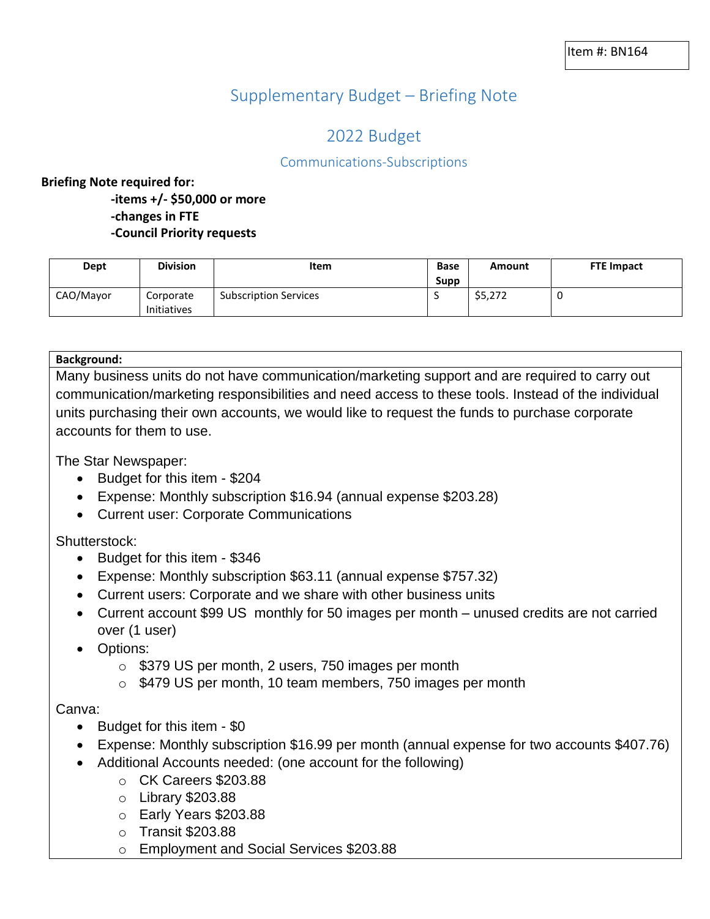# Supplementary Budget – Briefing Note

## 2022 Budget

## Communications-Subscriptions

### **Briefing Note required for:**

**-items +/- \$50,000 or more -changes in FTE -Council Priority requests**

| Dept      | <b>Division</b>          | Item                         | <b>Base</b> | Amount  | <b>FTE Impact</b> |
|-----------|--------------------------|------------------------------|-------------|---------|-------------------|
|           |                          |                              | Supp        |         |                   |
| CAO/Mayor | Corporate<br>Initiatives | <b>Subscription Services</b> |             | \$5,272 | u                 |

#### **Background:**

Many business units do not have communication/marketing support and are required to carry out communication/marketing responsibilities and need access to these tools. Instead of the individual units purchasing their own accounts, we would like to request the funds to purchase corporate accounts for them to use.

The Star Newspaper:

- Budget for this item \$204
- Expense: Monthly subscription \$16.94 (annual expense \$203.28)
- Current user: Corporate Communications

Shutterstock:

- Budget for this item \$346
- Expense: Monthly subscription \$63.11 (annual expense \$757.32)
- Current users: Corporate and we share with other business units
- Current account \$99 US monthly for 50 images per month unused credits are not carried over (1 user)
- Options:
	- o \$379 US per month, 2 users, 750 images per month
	- o \$479 US per month, 10 team members, 750 images per month

#### Canva:

- Budget for this item \$0
- Expense: Monthly subscription \$16.99 per month (annual expense for two accounts \$407.76)
- Additional Accounts needed: (one account for the following)
	- o CK Careers \$203.88
	- o Library \$203.88
	- o Early Years \$203.88
	- o Transit \$203.88
	- o Employment and Social Services \$203.88